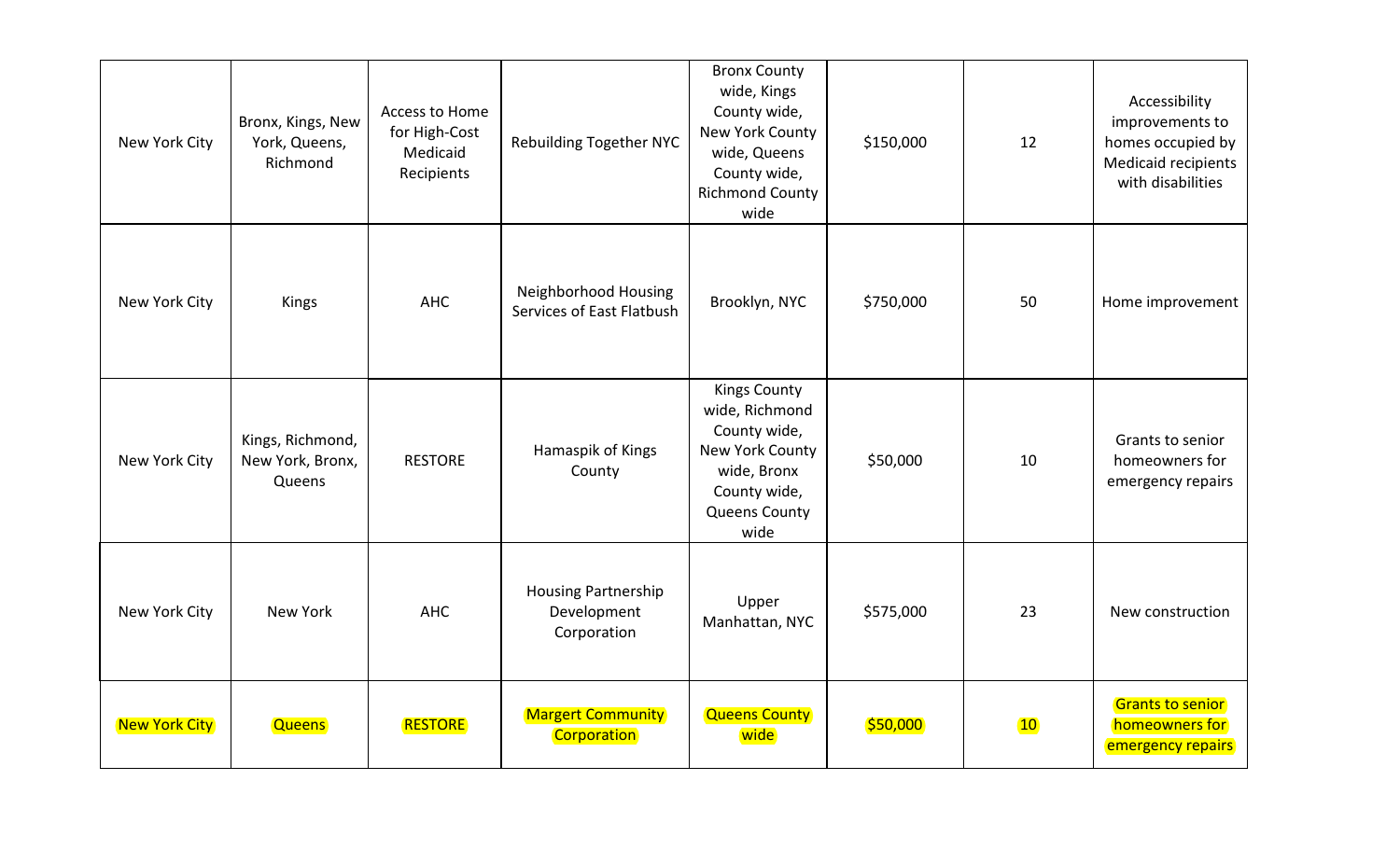| New York City        | Bronx, Kings, New<br>York, Queens,<br>Richmond | Access to Home<br>for High-Cost<br>Medicaid<br>Recipients | <b>Rebuilding Together NYC</b>                           | <b>Bronx County</b><br>wide, Kings<br>County wide,<br>New York County<br>wide, Queens<br>County wide,<br><b>Richmond County</b><br>wide | \$150,000 | 12              | Accessibility<br>improvements to<br>homes occupied by<br>Medicaid recipients<br>with disabilities |
|----------------------|------------------------------------------------|-----------------------------------------------------------|----------------------------------------------------------|-----------------------------------------------------------------------------------------------------------------------------------------|-----------|-----------------|---------------------------------------------------------------------------------------------------|
| New York City        | Kings                                          | <b>AHC</b>                                                | Neighborhood Housing<br>Services of East Flatbush        | Brooklyn, NYC                                                                                                                           | \$750,000 | 50              | Home improvement                                                                                  |
| New York City        | Kings, Richmond,<br>New York, Bronx,<br>Queens | <b>RESTORE</b>                                            | Hamaspik of Kings<br>County                              | <b>Kings County</b><br>wide, Richmond<br>County wide,<br>New York County<br>wide, Bronx<br>County wide,<br><b>Queens County</b><br>wide | \$50,000  | 10              | Grants to senior<br>homeowners for<br>emergency repairs                                           |
| New York City        | New York                                       | <b>AHC</b>                                                | <b>Housing Partnership</b><br>Development<br>Corporation | Upper<br>Manhattan, NYC                                                                                                                 | \$575,000 | 23              | New construction                                                                                  |
| <b>New York City</b> | <b>Queens</b>                                  | <b>RESTORE</b>                                            | <b>Margert Community</b><br>Corporation                  | <b>Queens County</b><br>wide                                                                                                            | \$50,000  | 10 <sub>1</sub> | <b>Grants to senior</b><br>homeowners for<br>emergency repairs                                    |